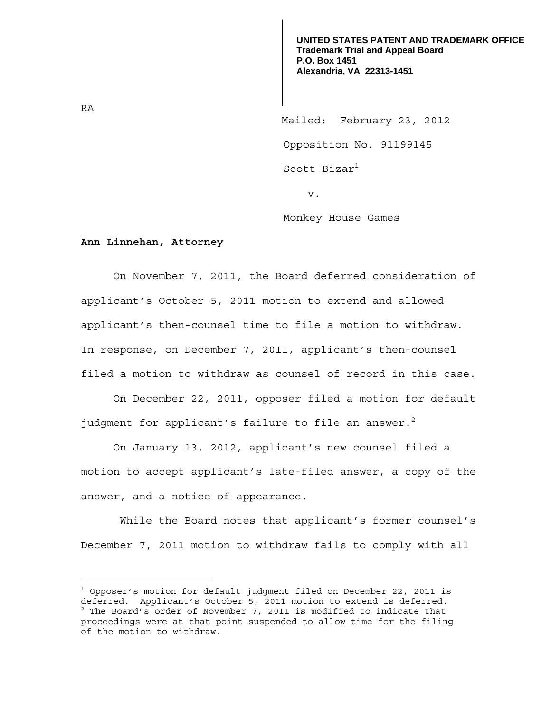**UNITED STATES PATENT AND TRADEMARK OFFICE Trademark Trial and Appeal Board P.O. Box 1451 Alexandria, VA 22313-1451**

 Mailed: February 23, 2012 Opposition No. 91199145 Scott Bizar<sup>1</sup> v.

Monkey House Games

## **Ann Linnehan, Attorney**

On November 7, 2011, the Board deferred consideration of applicant's October 5, 2011 motion to extend and allowed applicant's then-counsel time to file a motion to withdraw. In response, on December 7, 2011, applicant's then-counsel filed a motion to withdraw as counsel of record in this case.

 On December 22, 2011, opposer filed a motion for default judgment for applicant's failure to file an answer.<sup>2</sup>

 On January 13, 2012, applicant's new counsel filed a motion to accept applicant's late-filed answer, a copy of the answer, and a notice of appearance.

 While the Board notes that applicant's former counsel's December 7, 2011 motion to withdraw fails to comply with all

RA

<sup>&</sup>lt;sup>1</sup> Opposer's motion for default judgment filed on December 22, 2011 is deferred. Applicant's October 5, 2011 motion to extend is deferred.  $2$  The Board's order of November 7, 2011 is modified to indicate that proceedings were at that point suspended to allow time for the filing of the motion to withdraw.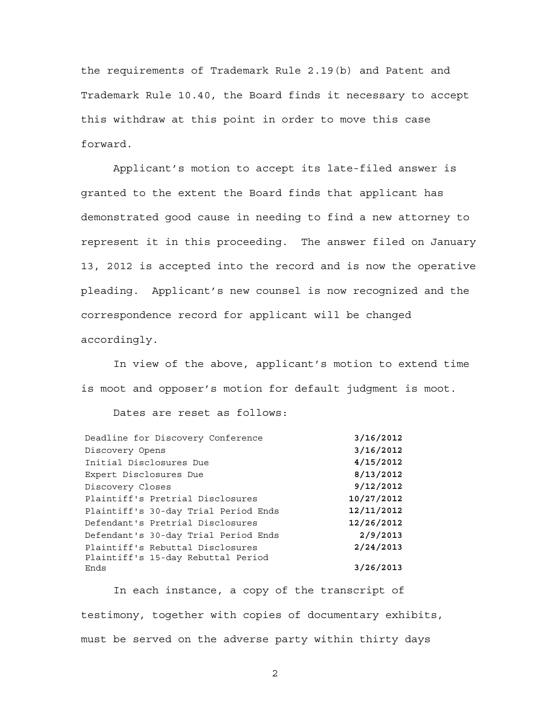the requirements of Trademark Rule 2.19(b) and Patent and Trademark Rule 10.40, the Board finds it necessary to accept this withdraw at this point in order to move this case forward.

 Applicant's motion to accept its late-filed answer is granted to the extent the Board finds that applicant has demonstrated good cause in needing to find a new attorney to represent it in this proceeding. The answer filed on January 13, 2012 is accepted into the record and is now the operative pleading. Applicant's new counsel is now recognized and the correspondence record for applicant will be changed accordingly.

 In view of the above, applicant's motion to extend time is moot and opposer's motion for default judgment is moot.

Dates are reset as follows:

| Deadline for Discovery Conference    | 3/16/2012  |
|--------------------------------------|------------|
| Discovery Opens                      | 3/16/2012  |
| Initial Disclosures Due              | 4/15/2012  |
| Expert Disclosures Due               | 8/13/2012  |
| Discovery Closes                     | 9/12/2012  |
| Plaintiff's Pretrial Disclosures     | 10/27/2012 |
| Plaintiff's 30-day Trial Period Ends | 12/11/2012 |
| Defendant's Pretrial Disclosures     | 12/26/2012 |
| Defendant's 30-day Trial Period Ends | 2/9/2013   |
| Plaintiff's Rebuttal Disclosures     | 2/24/2013  |
| Plaintiff's 15-day Rebuttal Period   |            |
| Ends                                 | 3/26/2013  |

In each instance, a copy of the transcript of testimony, together with copies of documentary exhibits, must be served on the adverse party within thirty days

2